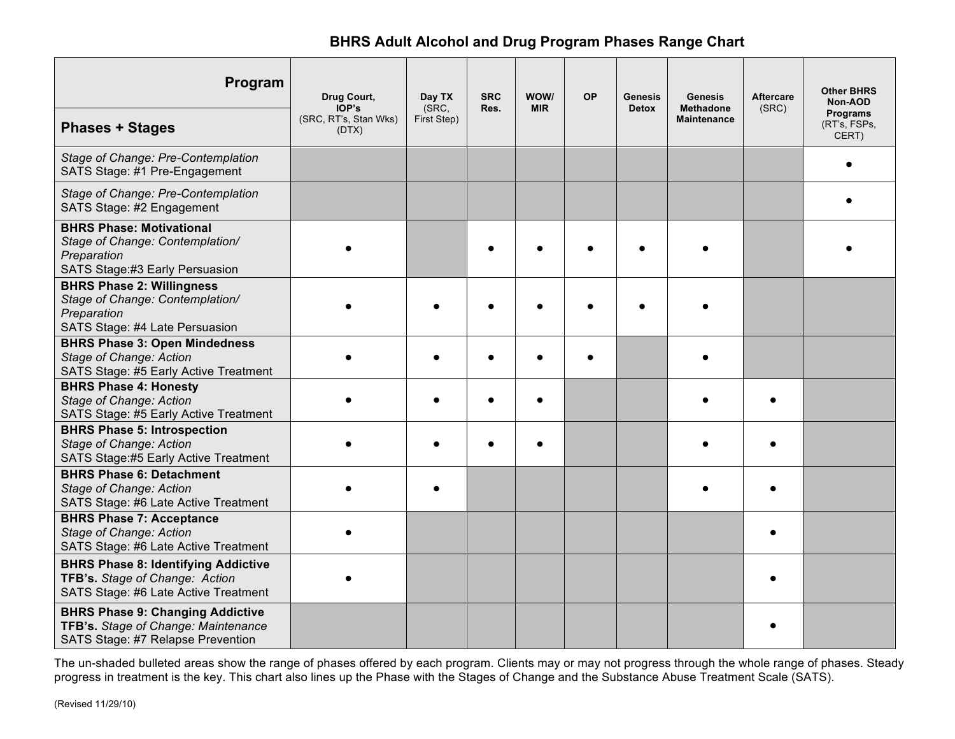## **BHRS Adult Alcohol and Drug Program Phases Range Chart**

| Program                                                                                                              | Drug Court,<br>IOP's           | Day TX<br>(SRC, | <b>SRC</b><br>Res. | WOW/<br><b>MIR</b> | <b>OP</b> | <b>Genesis</b><br><b>Detox</b> | Genesis<br><b>Methadone</b> | <b>Aftercare</b><br>(SRC) | <b>Other BHRS</b><br>Non-AOD             |
|----------------------------------------------------------------------------------------------------------------------|--------------------------------|-----------------|--------------------|--------------------|-----------|--------------------------------|-----------------------------|---------------------------|------------------------------------------|
| <b>Phases + Stages</b>                                                                                               | (SRC, RT's, Stan Wks)<br>(DTX) | First Step)     |                    |                    |           |                                | <b>Maintenance</b>          |                           | <b>Programs</b><br>(RT's, FSPs,<br>CERT) |
| Stage of Change: Pre-Contemplation<br>SATS Stage: #1 Pre-Engagement                                                  |                                |                 |                    |                    |           |                                |                             |                           |                                          |
| Stage of Change: Pre-Contemplation<br>SATS Stage: #2 Engagement                                                      |                                |                 |                    |                    |           |                                |                             |                           |                                          |
| <b>BHRS Phase: Motivational</b><br>Stage of Change: Contemplation/<br>Preparation<br>SATS Stage:#3 Early Persuasion  |                                |                 |                    |                    |           |                                |                             |                           |                                          |
| <b>BHRS Phase 2: Willingness</b><br>Stage of Change: Contemplation/<br>Preparation<br>SATS Stage: #4 Late Persuasion |                                |                 |                    |                    |           |                                |                             |                           |                                          |
| <b>BHRS Phase 3: Open Mindedness</b><br>Stage of Change: Action<br>SATS Stage: #5 Early Active Treatment             |                                |                 |                    |                    |           |                                |                             |                           |                                          |
| <b>BHRS Phase 4: Honesty</b><br>Stage of Change: Action<br>SATS Stage: #5 Early Active Treatment                     |                                |                 |                    |                    |           |                                |                             |                           |                                          |
| <b>BHRS Phase 5: Introspection</b><br>Stage of Change: Action<br>SATS Stage:#5 Early Active Treatment                |                                |                 |                    |                    |           |                                |                             |                           |                                          |
| <b>BHRS Phase 6: Detachment</b><br>Stage of Change: Action<br>SATS Stage: #6 Late Active Treatment                   |                                |                 |                    |                    |           |                                |                             |                           |                                          |
| <b>BHRS Phase 7: Acceptance</b><br>Stage of Change: Action<br>SATS Stage: #6 Late Active Treatment                   |                                |                 |                    |                    |           |                                |                             |                           |                                          |
| <b>BHRS Phase 8: Identifying Addictive</b><br>TFB's. Stage of Change: Action<br>SATS Stage: #6 Late Active Treatment |                                |                 |                    |                    |           |                                |                             |                           |                                          |
| <b>BHRS Phase 9: Changing Addictive</b><br>TFB's. Stage of Change: Maintenance<br>SATS Stage: #7 Relapse Prevention  |                                |                 |                    |                    |           |                                |                             |                           |                                          |

The un-shaded bulleted areas show the range of phases offered by each program. Clients may or may not progress through the whole range of phases. Steady progress in treatment is the key. This chart also lines up the Phase with the Stages of Change and the Substance Abuse Treatment Scale (SATS).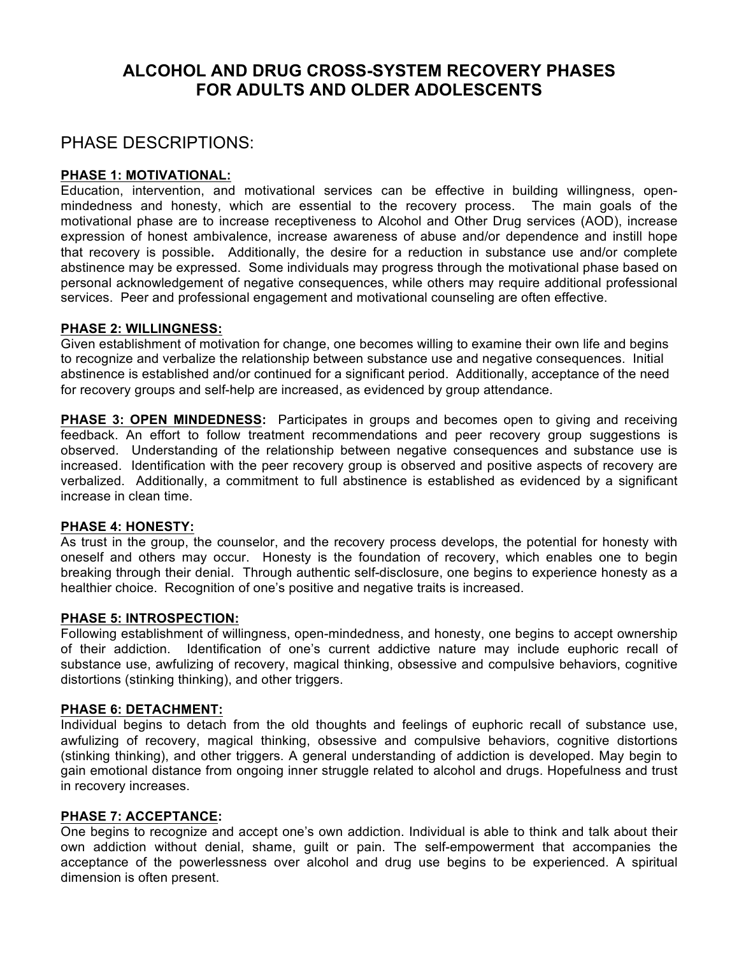# **ALCOHOL AND DRUG CROSS-SYSTEM RECOVERY PHASES FOR ADULTS AND OLDER ADOLESCENTS**

## PHASE DESCRIPTIONS:

### **PHASE 1: MOTIVATIONAL:**

Education, intervention, and motivational services can be effective in building willingness, openmindedness and honesty, which are essential to the recovery process. The main goals of the motivational phase are to increase receptiveness to Alcohol and Other Drug services (AOD), increase expression of honest ambivalence, increase awareness of abuse and/or dependence and instill hope that recovery is possible. Additionally, the desire for a reduction in substance use and/or complete abstinence may be expressed. Some individuals may progress through the motivational phase based on personal acknowledgement of negative consequences, while others may require additional professional services. Peer and professional engagement and motivational counseling are often effective.

#### **PHASE 2: WILLINGNESS:**

Given establishment of motivation for change, one becomes willing to examine their own life and begins to recognize and verbalize the relationship between substance use and negative consequences. Initial abstinence is established and/or continued for a significant period. Additionally, acceptance of the need for recovery groups and self-help are increased, as evidenced by group attendance.

**PHASE 3: OPEN MINDEDNESS:** Participates in groups and becomes open to giving and receiving feedback. An effort to follow treatment recommendations and peer recovery group suggestions is observed. Understanding of the relationship between negative consequences and substance use is increased. Identification with the peer recovery group is observed and positive aspects of recovery are verbalized. Additionally, a commitment to full abstinence is established as evidenced by a significant increase in clean time.

#### **PHASE 4: HONESTY:**

As trust in the group, the counselor, and the recovery process develops, the potential for honesty with oneself and others may occur. Honesty is the foundation of recovery, which enables one to begin breaking through their denial. Through authentic self-disclosure, one begins to experience honesty as a healthier choice. Recognition of one's positive and negative traits is increased.

#### **PHASE 5: INTROSPECTION:**

Following establishment of willingness, open-mindedness, and honesty, one begins to accept ownership of their addiction. Identification of one's current addictive nature may include euphoric recall of substance use, awfulizing of recovery, magical thinking, obsessive and compulsive behaviors, cognitive distortions (stinking thinking), and other triggers.

#### **PHASE 6: DETACHMENT:**

Individual begins to detach from the old thoughts and feelings of euphoric recall of substance use, awfulizing of recovery, magical thinking, obsessive and compulsive behaviors, cognitive distortions (stinking thinking), and other triggers. A general understanding of addiction is developed. May begin to gain emotional distance from ongoing inner struggle related to alcohol and drugs. Hopefulness and trust in recovery increases.

### **PHASE 7: ACCEPTANCE:**

One begins to recognize and accept one's own addiction. Individual is able to think and talk about their own addiction without denial, shame, guilt or pain. The self-empowerment that accompanies the acceptance of the powerlessness over alcohol and drug use begins to be experienced. A spiritual dimension is often present.